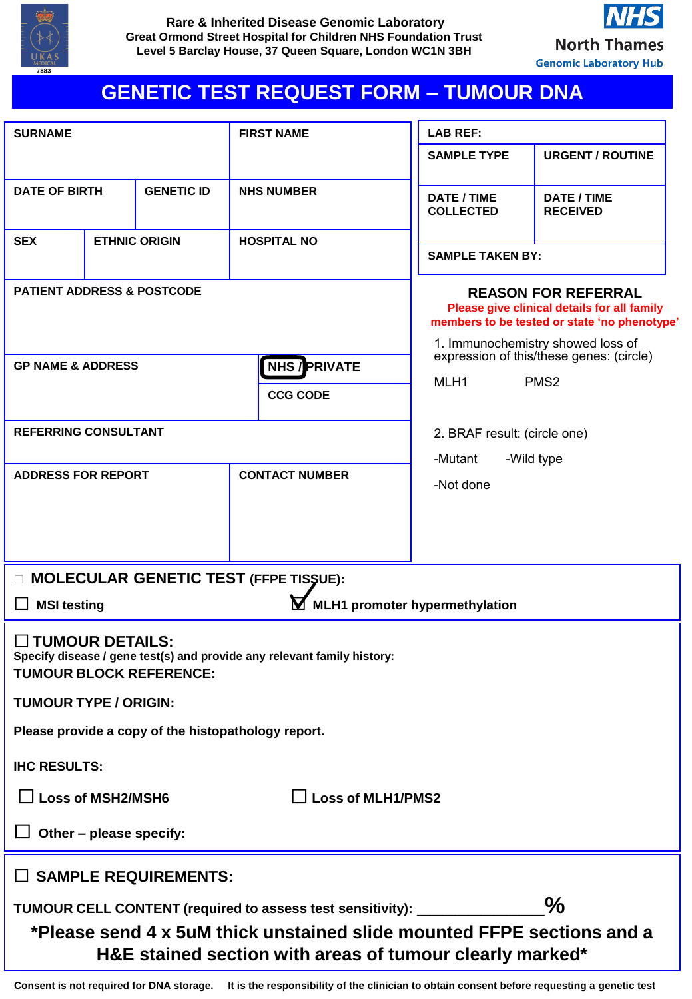



# **GENETIC TEST REQUEST FORM – TUMOUR DNA**

| <b>SURNAME</b>                                                                                                                                                                                                                  |                      |                   | <b>FIRST NAME</b>     | <b>LAB REF:</b>                                                                                                                                                                                                                                    |                                |  |
|---------------------------------------------------------------------------------------------------------------------------------------------------------------------------------------------------------------------------------|----------------------|-------------------|-----------------------|----------------------------------------------------------------------------------------------------------------------------------------------------------------------------------------------------------------------------------------------------|--------------------------------|--|
|                                                                                                                                                                                                                                 |                      |                   |                       | <b>SAMPLE TYPE</b>                                                                                                                                                                                                                                 | <b>URGENT / ROUTINE</b>        |  |
| <b>DATE OF BIRTH</b>                                                                                                                                                                                                            |                      | <b>GENETIC ID</b> | <b>NHS NUMBER</b>     | DATE / TIME<br><b>COLLECTED</b>                                                                                                                                                                                                                    | DATE / TIME<br><b>RECEIVED</b> |  |
| <b>SEX</b>                                                                                                                                                                                                                      | <b>ETHNIC ORIGIN</b> |                   | <b>HOSPITAL NO</b>    | <b>SAMPLE TAKEN BY:</b>                                                                                                                                                                                                                            |                                |  |
| <b>PATIENT ADDRESS &amp; POSTCODE</b><br><b>NHS / PRIVATE</b><br><b>GP NAME &amp; ADDRESS</b><br><b>CCG CODE</b>                                                                                                                |                      |                   |                       | <b>REASON FOR REFERRAL</b><br>Please give clinical details for all family<br>members to be tested or state 'no phenotype'<br>1. Immunochemistry showed loss of<br>expression of this/these genes: (circle)<br>MLH <sub>1</sub><br>PMS <sub>2</sub> |                                |  |
| <b>REFERRING CONSULTANT</b>                                                                                                                                                                                                     |                      |                   |                       | 2. BRAF result: (circle one)                                                                                                                                                                                                                       |                                |  |
| <b>ADDRESS FOR REPORT</b>                                                                                                                                                                                                       |                      |                   | <b>CONTACT NUMBER</b> | -Mutant<br>-Not done                                                                                                                                                                                                                               | -Wild type                     |  |
| <b>MOLECULAR GENETIC TEST (FFPE TISSUE):</b><br>$\Box$                                                                                                                                                                          |                      |                   |                       |                                                                                                                                                                                                                                                    |                                |  |
| $\mathbf M$ MLH1 promoter hypermethylation<br><b>MSI testing</b>                                                                                                                                                                |                      |                   |                       |                                                                                                                                                                                                                                                    |                                |  |
| $\Box$ TUMOUR DETAILS:<br>Specify disease / gene test(s) and provide any relevant family history:<br><b>TUMOUR BLOCK REFERENCE:</b>                                                                                             |                      |                   |                       |                                                                                                                                                                                                                                                    |                                |  |
| <b>TUMOUR TYPE / ORIGIN:</b>                                                                                                                                                                                                    |                      |                   |                       |                                                                                                                                                                                                                                                    |                                |  |
| Please provide a copy of the histopathology report.                                                                                                                                                                             |                      |                   |                       |                                                                                                                                                                                                                                                    |                                |  |
| <b>IHC RESULTS:</b>                                                                                                                                                                                                             |                      |                   |                       |                                                                                                                                                                                                                                                    |                                |  |
| $\Box$ Loss of MLH1/PMS2<br>$\Box$ Loss of MSH2/MSH6                                                                                                                                                                            |                      |                   |                       |                                                                                                                                                                                                                                                    |                                |  |
| Other - please specify:                                                                                                                                                                                                         |                      |                   |                       |                                                                                                                                                                                                                                                    |                                |  |
| $\Box$ SAMPLE REQUIREMENTS:                                                                                                                                                                                                     |                      |                   |                       |                                                                                                                                                                                                                                                    |                                |  |
| $\frac{0}{0}$<br>TUMOUR CELL CONTENT (required to assess test sensitivity): _____________<br>*Please send 4 x 5uM thick unstained slide mounted FFPE sections and a<br>H&E stained section with areas of tumour clearly marked* |                      |                   |                       |                                                                                                                                                                                                                                                    |                                |  |